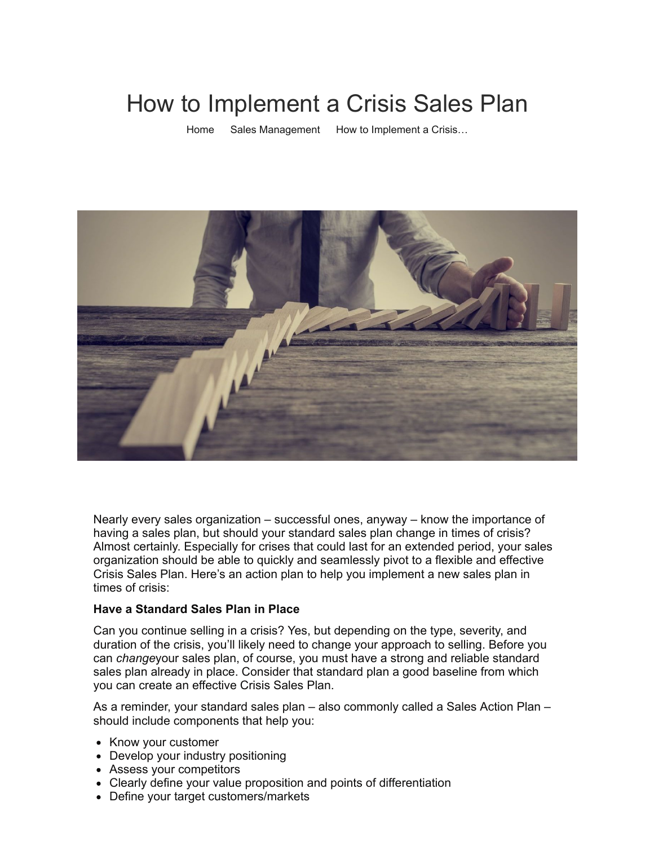# How to Implement a Crisis Sales Plan

[Home](https://salesxceleration.com/) [Sales Management](https://salesxceleration.com/category/sales-management/) How to Implement a Crisis...



Nearly every sales organization – successful ones, anyway – know the importance of having a sales plan, but should your standard sales plan change in times of crisis? Almost certainly. Especially for crises that could last for an extended period, your sales organization should be able to quickly and seamlessly pivot to a flexible and effective Crisis Sales Plan. Here's an action plan to help you implement a new sales plan in times of crisis:

#### **Have a Standard Sales Plan in Place**

Can you continue selling in a crisis? Yes, but depending on the type, severity, and duration of the crisis, you'll likely need to change your approach to selling. Before you can *change*your sales plan, of course, you must have a strong and reliable standard sales plan already in place. Consider that standard plan a good baseline from which you can create an effective Crisis Sales Plan.

As a reminder, your standard sales plan – also commonly called a Sales Action Plan – should include components that help you:

- Know your customer
- Develop your industry positioning
- Assess your competitors
- Clearly define your value proposition and points of differentiation
- Define your target customers/markets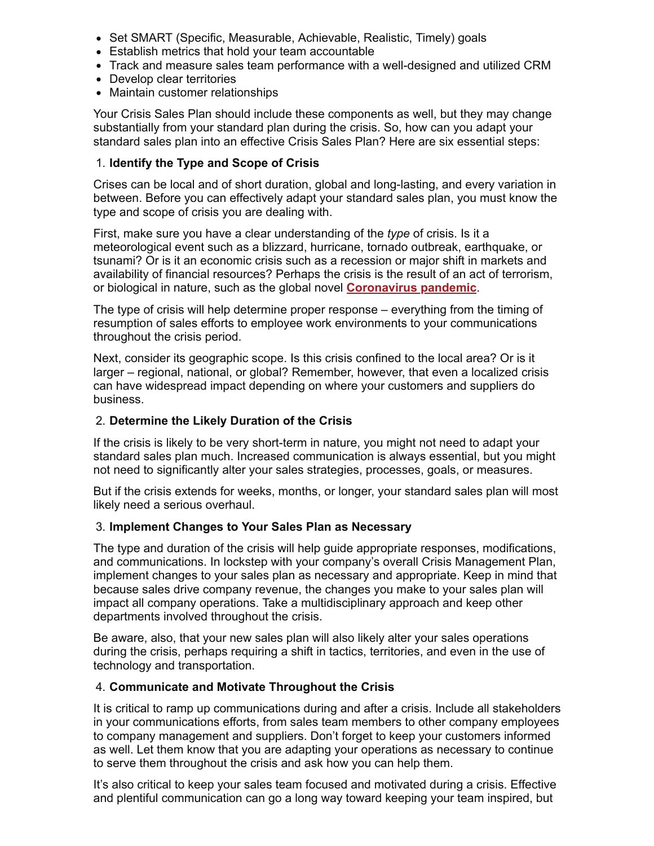- Set SMART (Specific, Measurable, Achievable, Realistic, Timely) goals
- Establish metrics that hold your team accountable
- Track and measure sales team performance with a well-designed and utilized CRM
- Develop clear territories
- Maintain customer relationships

Your Crisis Sales Plan should include these components as well, but they may change substantially from your standard plan during the crisis. So, how can you adapt your standard sales plan into an effective Crisis Sales Plan? Here are six essential steps:

# 1. **Identify the Type and Scope of Crisis**

Crises can be local and of short duration, global and long-lasting, and every variation in between. Before you can effectively adapt your standard sales plan, you must know the type and scope of crisis you are dealing with.

First, make sure you have a clear understanding of the *type* of crisis. Is it a meteorological event such as a blizzard, hurricane, tornado outbreak, earthquake, or tsunami? Or is it an economic crisis such as a recession or major shift in markets and availability of financial resources? Perhaps the crisis is the result of an act of terrorism, or biological in nature, such as the global novel **[Coronavirus pandemic](https://salesxceleration.com/keeping-sales-on-track-amid-covid-19/)**.

The type of crisis will help determine proper response – everything from the timing of resumption of sales efforts to employee work environments to your communications throughout the crisis period.

Next, consider its geographic scope. Is this crisis confined to the local area? Or is it larger – regional, national, or global? Remember, however, that even a localized crisis can have widespread impact depending on where your customers and suppliers do business.

# 2. **Determine the Likely Duration of the Crisis**

If the crisis is likely to be very short-term in nature, you might not need to adapt your standard sales plan much. Increased communication is always essential, but you might not need to significantly alter your sales strategies, processes, goals, or measures.

But if the crisis extends for weeks, months, or longer, your standard sales plan will most likely need a serious overhaul.

#### 3. **Implement Changes to Your Sales Plan as Necessary**

The type and duration of the crisis will help guide appropriate responses, modifications, and communications. In lockstep with your company's overall Crisis Management Plan, implement changes to your sales plan as necessary and appropriate. Keep in mind that because sales drive company revenue, the changes you make to your sales plan will impact all company operations. Take a multidisciplinary approach and keep other departments involved throughout the crisis.

Be aware, also, that your new sales plan will also likely alter your sales operations during the crisis, perhaps requiring a shift in tactics, territories, and even in the use of technology and transportation.

#### 4. **Communicate and Motivate Throughout the Crisis**

It is critical to ramp up communications during and after a crisis. Include all stakeholders in your communications efforts, from sales team members to other company employees to company management and suppliers. Don't forget to keep your customers informed as well. Let them know that you are adapting your operations as necessary to continue to serve them throughout the crisis and ask how you can help them.

It's also critical to keep your sales team focused and motivated during a crisis. Effective and plentiful communication can go a long way toward keeping your team inspired, but